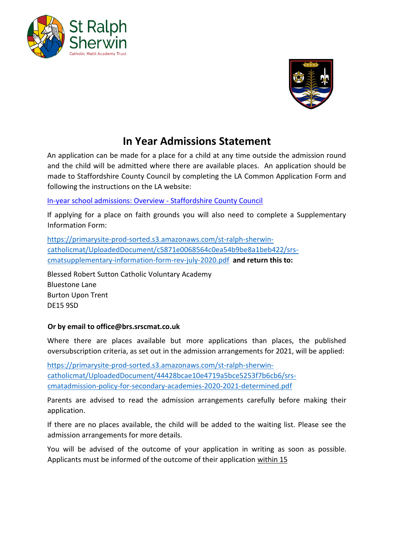



## **In Year Admissions Statement**

An application can be made for a place for a child at any time outside the admission round and the child will be admitted where there are available places. An application should be made to Staffordshire County Council by completing the LA Common Application Form and following the instructions on the LA website:

[In-year school admissions: Overview -](https://www.staffordshire.gov.uk/Education/Admissions-secondary/In-year/In-year-school-admissions.aspx) Staffordshire County Council

If applying for a place on faith grounds you will also need to complete a Supplementary Information Form:

[https://primarysite-prod-sorted.s3.amazonaws.com/st-ralph-sherwin](https://primarysite-prod-sorted.s3.amazonaws.com/st-ralph-sherwin-catholic-mat/UploadedDocument/c5871e0068564c0ea54b9be8a1beb422/srs-cmat-supplementary-information-form-rev-july-2020.pdf)[catholicmat/UploadedDocument/c5871e0068564c0ea54b9be8a1beb422/srs](https://primarysite-prod-sorted.s3.amazonaws.com/st-ralph-sherwin-catholic-mat/UploadedDocument/c5871e0068564c0ea54b9be8a1beb422/srs-cmat-supplementary-information-form-rev-july-2020.pdf)[cmatsupplementary-information-form-rev-july-2020.pdf](https://primarysite-prod-sorted.s3.amazonaws.com/st-ralph-sherwin-catholic-mat/UploadedDocument/c5871e0068564c0ea54b9be8a1beb422/srs-cmat-supplementary-information-form-rev-july-2020.pdf) **and return this to:** 

Blessed Robert Sutton Catholic Voluntary Academy Bluestone Lane Burton Upon Trent DE15 9SD

## **Or by email to office@brs.srscmat.co.uk**

Where there are places available but more applications than places, the published oversubscription criteria, as set out in the admission arrangements for 2021, will be applied:

[https://primarysite-prod-sorted.s3.amazonaws.com/st-ralph-sherwin](https://primarysite-prod-sorted.s3.amazonaws.com/st-ralph-sherwin-catholic-mat/UploadedDocument/44428bcae10e4719a5bce5253f7b6cb6/srs-cmat-admission-policy-for-secondary-academies-2020-2021-determined.pdf)[catholicmat/UploadedDocument/44428bcae10e4719a5bce5253f7b6cb6/srs](https://primarysite-prod-sorted.s3.amazonaws.com/st-ralph-sherwin-catholic-mat/UploadedDocument/44428bcae10e4719a5bce5253f7b6cb6/srs-cmat-admission-policy-for-secondary-academies-2020-2021-determined.pdf)[cmatadmission-policy-for-secondary-academies-2020-2021-determined.pdf](https://primarysite-prod-sorted.s3.amazonaws.com/st-ralph-sherwin-catholic-mat/UploadedDocument/44428bcae10e4719a5bce5253f7b6cb6/srs-cmat-admission-policy-for-secondary-academies-2020-2021-determined.pdf)

Parents are advised to read the admission arrangements carefully before making their application.

If there are no places available, the child will be added to the waiting list. Please see the admission arrangements for more details.

You will be advised of the outcome of your application in writing as soon as possible. Applicants must be informed of the outcome of their application within 15